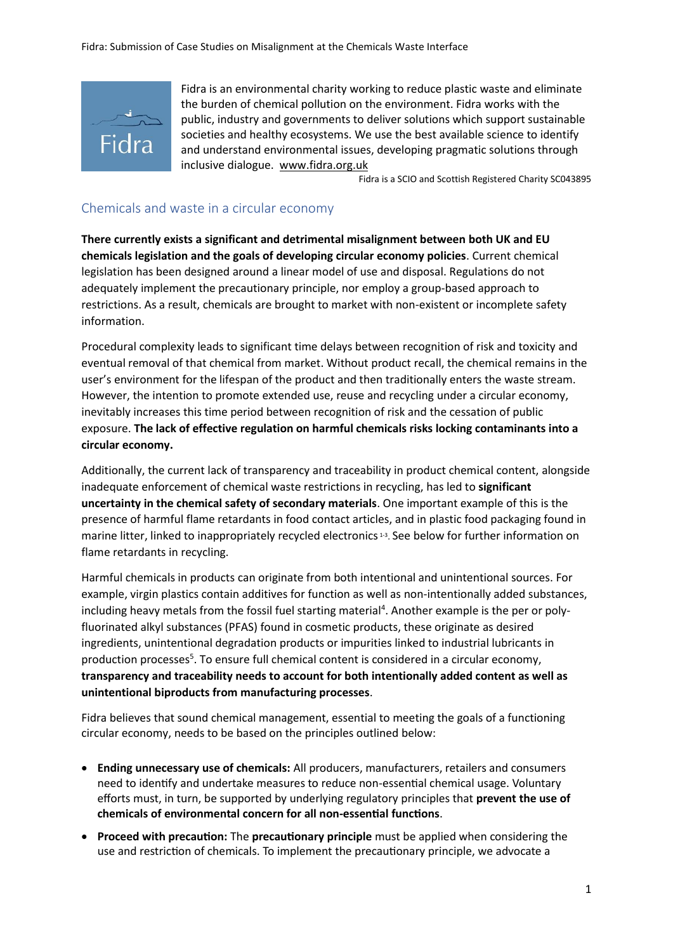

Fidra is an environmental charity working to reduce plastic waste and eliminate the burden of chemical pollution on the environment. Fidra works with the public, industry and governments to deliver solutions which support sustainable societies and healthy ecosystems. We use the best available science to identify and understand environmental issues, developing pragmatic solutions through inclusive dialogue. [www.fidra.org.uk](http://www.fidra.org.uk/)

Fidra is a SCIO and Scottish Registered Charity SC043895

# Chemicals and waste in a circular economy

**There currently exists a significant and detrimental misalignment between both UK and EU chemicals legislation and the goals of developing circular economy policies**. Current chemical legislation has been designed around a linear model of use and disposal. Regulations do not adequately implement the precautionary principle, nor employ a group-based approach to restrictions. As a result, chemicals are brought to market with non-existent or incomplete safety information.

Procedural complexity leads to significant time delays between recognition of risk and toxicity and eventual removal of that chemical from market. Without product recall, the chemical remains in the user's environment for the lifespan of the product and then traditionally enters the waste stream. However, the intention to promote extended use, reuse and recycling under a circular economy, inevitably increases this time period between recognition of risk and the cessation of public exposure. **The lack of effective regulation on harmful chemicals risks locking contaminants into a circular economy.**

Additionally, the current lack of transparency and traceability in product chemical content, alongside inadequate enforcement of chemical waste restrictions in recycling, has led to **significant uncertainty in the chemical safety of secondary materials**. One important example of this is the presence of harmful flame retardants in food contact articles, and in plastic food packaging found in marine litter, linked to inappropriately recycled electronics<sup>13</sup>. See below for further information on flame retardants in recycling.

Harmful chemicals in products can originate from both intentional and unintentional sources. For example, virgin plastics contain additives for function as well as non-intentionally added substances, including heavy metals from the fossil fuel starting material<sup>4</sup>. Another example is the per or polyfluorinated alkyl substances (PFAS) found in cosmetic products, these originate as desired ingredients, unintentional degradation products or impurities linked to industrial lubricants in production processes<sup>5</sup>. To ensure full chemical content is considered in a circular economy, **transparency and traceability needs to account for both intentionally added content as well as unintentional biproducts from manufacturing processes**.

Fidra believes that sound chemical management, essential to meeting the goals of a functioning circular economy, needs to be based on the principles outlined below:

- **Ending unnecessary use of chemicals:** All producers, manufacturers, retailers and consumers need to identify and undertake measures to reduce non-essential chemical usage. Voluntary efforts must, in turn, be supported by underlying regulatory principles that **prevent the use of chemicals of environmental concern for all non-essential functions**.
- **Proceed with precaution:** The **precautionary principle** must be applied when considering the use and restriction of chemicals. To implement the precautionary principle, we advocate a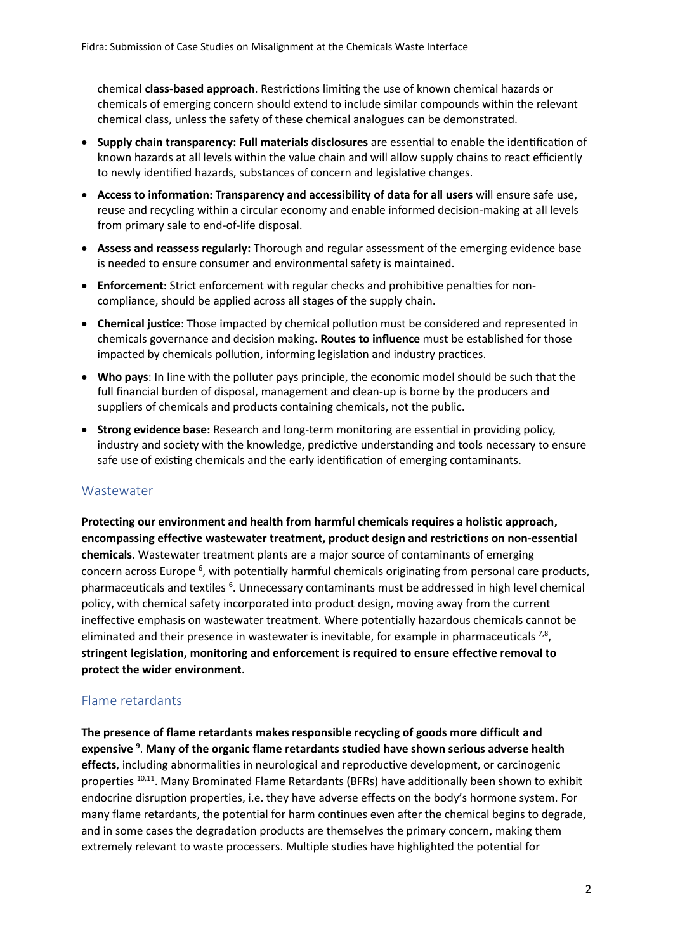chemical **class-based approach**. Restrictions limiting the use of known chemical hazards or chemicals of emerging concern should extend to include similar compounds within the relevant chemical class, unless the safety of these chemical analogues can be demonstrated.

- **Supply chain transparency: Full materials disclosures** are essential to enable the identification of known hazards at all levels within the value chain and will allow supply chains to react efficiently to newly identified hazards, substances of concern and legislative changes.
- **Access to information: Transparency and accessibility of data for all users** will ensure safe use, reuse and recycling within a circular economy and enable informed decision-making at all levels from primary sale to end-of-life disposal.
- **Assess and reassess regularly:** Thorough and regular assessment of the emerging evidence base is needed to ensure consumer and environmental safety is maintained.
- **Enforcement:** Strict enforcement with regular checks and prohibitive penalties for noncompliance, should be applied across all stages of the supply chain.
- **Chemical justice**: Those impacted by chemical pollution must be considered and represented in chemicals governance and decision making. **Routes to influence** must be established for those impacted by chemicals pollution, informing legislation and industry practices.
- **Who pays**: In line with the polluter pays principle, the economic model should be such that the full financial burden of disposal, management and clean-up is borne by the producers and suppliers of chemicals and products containing chemicals, not the public.
- **Strong evidence base:** Research and long-term monitoring are essential in providing policy, industry and society with the knowledge, predictive understanding and tools necessary to ensure safe use of existing chemicals and the early identification of emerging contaminants.

## **Wastewater**

**Protecting our environment and health from harmful chemicals requires a holistic approach, encompassing effective wastewater treatment, product design and restrictions on non-essential chemicals**. Wastewater treatment plants are a major source of contaminants of emerging concern across Europe <sup>6</sup>, with potentially harmful chemicals originating from personal care products, pharmaceuticals and textiles <sup>6</sup>. Unnecessary contaminants must be addressed in high level chemical policy, with chemical safety incorporated into product design, moving away from the current ineffective emphasis on wastewater treatment. Where potentially hazardous chemicals cannot be eliminated and their presence in wastewater is inevitable, for example in pharmaceuticals  $^{7,8}$ , **stringent legislation, monitoring and enforcement is required to ensure effective removal to protect the wider environment**.

## Flame retardants

**The presence of flame retardants makes responsible recycling of goods more difficult and expensive <sup>9</sup>** . **Many of the organic flame retardants studied have shown serious adverse health effects**, including abnormalities in neurological and reproductive development, or carcinogenic properties <sup>10,11</sup>. Many Brominated Flame Retardants (BFRs) have additionally been shown to exhibit endocrine disruption properties, i.e. they have adverse effects on the body's hormone system. For many flame retardants, the potential for harm continues even after the chemical begins to degrade, and in some cases the degradation products are themselves the primary concern, making them extremely relevant to waste processers. Multiple studies have highlighted the potential for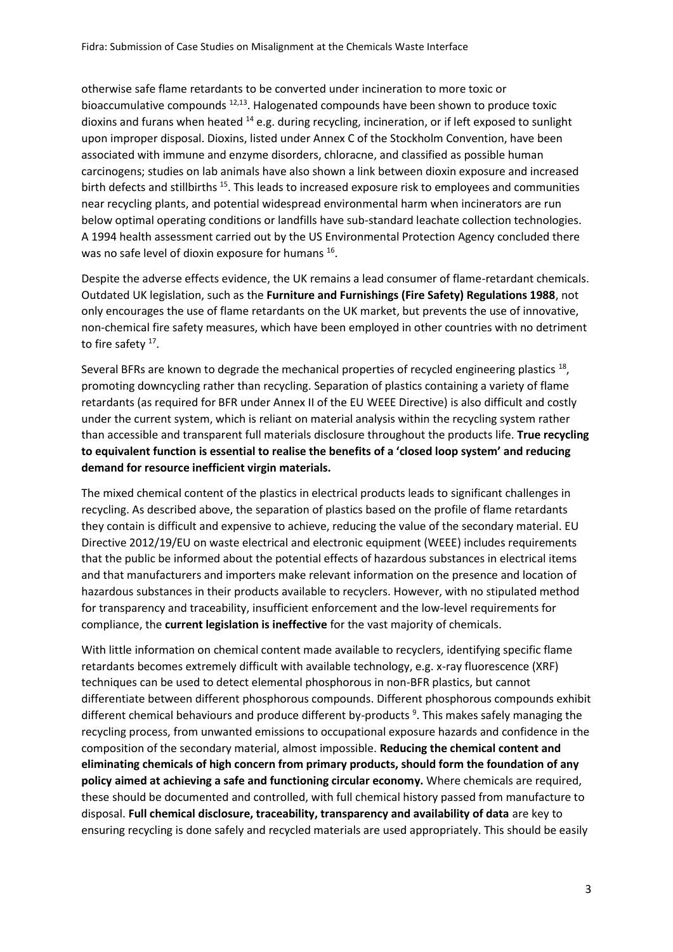otherwise safe flame retardants to be converted under incineration to more toxic or bioaccumulative compounds <sup>12,13</sup>. Halogenated compounds have been shown to produce toxic dioxins and furans when heated <sup>14</sup> e.g. during recycling, incineration, or if left exposed to sunlight upon improper disposal. Dioxins, listed under Annex C of the Stockholm Convention, have been associated with immune and enzyme disorders, chloracne, and classified as possible human carcinogens; studies on lab animals have also shown a link between dioxin exposure and increased birth defects and stillbirths <sup>15</sup>. This leads to increased exposure risk to employees and communities near recycling plants, and potential widespread environmental harm when incinerators are run below optimal operating conditions or landfills have sub-standard leachate collection technologies. A 1994 health assessment carried out by the US Environmental Protection Agency concluded there was no safe level of dioxin exposure for humans <sup>16</sup>.

Despite the adverse effects evidence, the UK remains a lead consumer of flame-retardant chemicals. Outdated UK legislation, such as the **Furniture and Furnishings (Fire Safety) Regulations 1988**, not only encourages the use of flame retardants on the UK market, but prevents the use of innovative, non-chemical fire safety measures, which have been employed in other countries with no detriment to fire safety <sup>17</sup>.

Several BFRs are known to degrade the mechanical properties of recycled engineering plastics <sup>18</sup>, promoting downcycling rather than recycling. Separation of plastics containing a variety of flame retardants (as required for BFR under Annex II of the EU WEEE Directive) is also difficult and costly under the current system, which is reliant on material analysis within the recycling system rather than accessible and transparent full materials disclosure throughout the products life. **True recycling to equivalent function is essential to realise the benefits of a 'closed loop system' and reducing demand for resource inefficient virgin materials.**

The mixed chemical content of the plastics in electrical products leads to significant challenges in recycling. As described above, the separation of plastics based on the profile of flame retardants they contain is difficult and expensive to achieve, reducing the value of the secondary material. EU Directive 2012/19/EU on waste electrical and electronic equipment (WEEE) includes requirements that the public be informed about the potential effects of hazardous substances in electrical items and that manufacturers and importers make relevant information on the presence and location of hazardous substances in their products available to recyclers. However, with no stipulated method for transparency and traceability, insufficient enforcement and the low-level requirements for compliance, the **current legislation is ineffective** for the vast majority of chemicals.

With little information on chemical content made available to recyclers, identifying specific flame retardants becomes extremely difficult with available technology, e.g. x-ray fluorescence (XRF) techniques can be used to detect elemental phosphorous in non-BFR plastics, but cannot differentiate between different phosphorous compounds. Different phosphorous compounds exhibit different chemical behaviours and produce different by-products<sup>9</sup>. This makes safely managing the recycling process, from unwanted emissions to occupational exposure hazards and confidence in the composition of the secondary material, almost impossible. **Reducing the chemical content and eliminating chemicals of high concern from primary products, should form the foundation of any policy aimed at achieving a safe and functioning circular economy.** Where chemicals are required, these should be documented and controlled, with full chemical history passed from manufacture to disposal. **Full chemical disclosure, traceability, transparency and availability of data** are key to ensuring recycling is done safely and recycled materials are used appropriately. This should be easily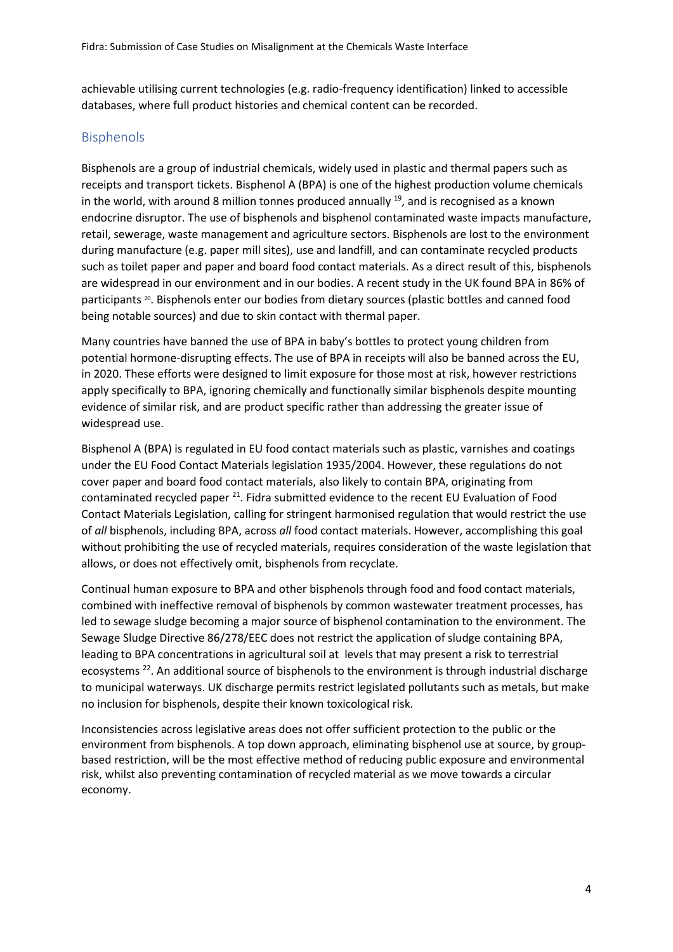achievable utilising current technologies (e.g. radio-frequency identification) linked to accessible databases, where full product histories and chemical content can be recorded.

## Bisphenols

Bisphenols are a group of industrial chemicals, widely used in plastic and thermal papers such as receipts and transport tickets. Bisphenol A (BPA) is one of the highest production volume chemicals in the world, with around 8 million tonnes produced annually <sup>19</sup>, and is recognised as a known endocrine disruptor. The use of bisphenols and bisphenol contaminated waste impacts manufacture, retail, sewerage, waste management and agriculture sectors. Bisphenols are lost to the environment during manufacture (e.g. paper mill sites), use and landfill, and can contaminate recycled products such as toilet paper and paper and board food contact materials. As a direct result of this, bisphenols are widespread in our environment and in our bodies. A recent study in the UK found BPA in 86% of participants <sup>20</sup>. Bisphenols enter our bodies from dietary sources (plastic bottles and canned food being notable sources) and due to skin contact with thermal paper.

Many countries have banned the use of BPA in baby's bottles to protect young children from potential hormone-disrupting effects. The use of BPA in receipts will also be banned across the EU, in 2020. These efforts were designed to limit exposure for those most at risk, however restrictions apply specifically to BPA, ignoring chemically and functionally similar bisphenols despite mounting evidence of similar risk, and are product specific rather than addressing the greater issue of widespread use.

Bisphenol A (BPA) is regulated in EU food contact materials such as plastic, varnishes and coatings under the EU Food Contact Materials legislation 1935/2004. However, these regulations do not cover paper and board food contact materials, also likely to contain BPA, originating from contaminated recycled paper  $^{21}$ . Fidra submitted evidence to the recent EU Evaluation of Food Contact Materials Legislation, calling for stringent harmonised regulation that would restrict the use of *all* bisphenols, including BPA, across *all* food contact materials. However, accomplishing this goal without prohibiting the use of recycled materials, requires consideration of the waste legislation that allows, or does not effectively omit, bisphenols from recyclate.

Continual human exposure to BPA and other bisphenols through food and food contact materials, combined with ineffective removal of bisphenols by common wastewater treatment processes, has led to sewage sludge becoming a major source of bisphenol contamination to the environment. The Sewage Sludge Directive 86/278/EEC does not restrict the application of sludge containing BPA, leading to BPA concentrations in agricultural soil at levels that may present a risk to terrestrial ecosystems<sup>22</sup>. An additional source of bisphenols to the environment is through industrial discharge to municipal waterways. UK discharge permits restrict legislated pollutants such as metals, but make no inclusion for bisphenols, despite their known toxicological risk.

Inconsistencies across legislative areas does not offer sufficient protection to the public or the environment from bisphenols. A top down approach, eliminating bisphenol use at source, by groupbased restriction, will be the most effective method of reducing public exposure and environmental risk, whilst also preventing contamination of recycled material as we move towards a circular economy.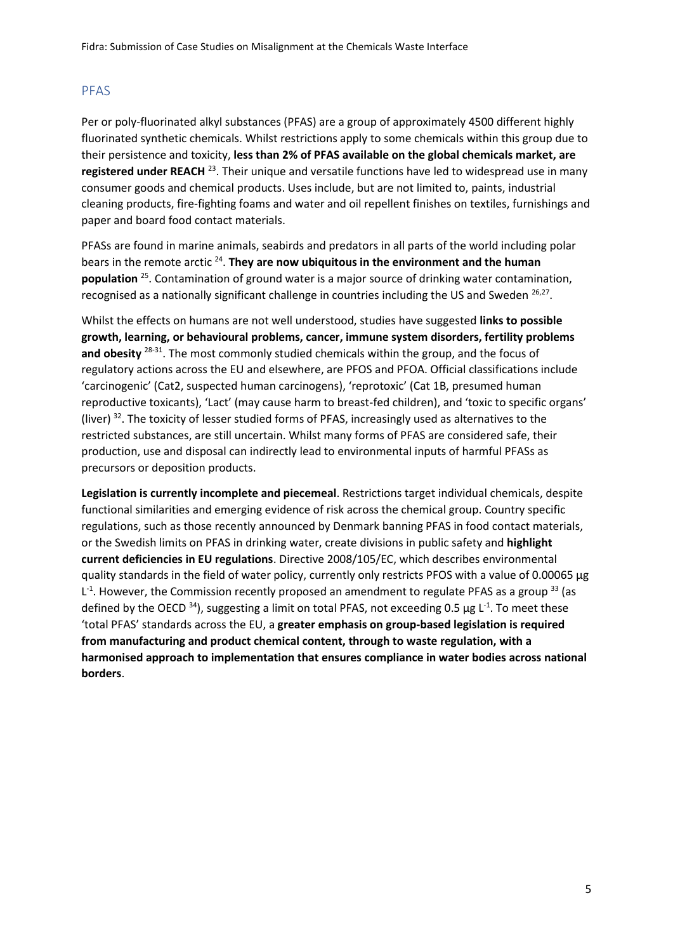# PFAS

Per or poly-fluorinated alkyl substances (PFAS) are a group of approximately 4500 different highly fluorinated synthetic chemicals. Whilst restrictions apply to some chemicals within this group due to their persistence and toxicity, **less than 2% of PFAS available on the global chemicals market, are**  registered under REACH<sup>23</sup>. Their unique and versatile functions have led to widespread use in many consumer goods and chemical products. Uses include, but are not limited to, paints, industrial cleaning products, fire-fighting foams and water and oil repellent finishes on textiles, furnishings and paper and board food contact materials.

PFASs are found in marine animals, seabirds and predators in all parts of the world including polar bears in the remote arctic<sup>24</sup>. They are now ubiquitous in the environment and the human population <sup>25</sup>. Contamination of ground water is a major source of drinking water contamination, recognised as a nationally significant challenge in countries including the US and Sweden <sup>26,27</sup>.

Whilst the effects on humans are not well understood, studies have suggested **links to possible growth, learning, or behavioural problems, cancer, immune system disorders, fertility problems**  and obesity <sup>28-31</sup>. The most commonly studied chemicals within the group, and the focus of regulatory actions across the EU and elsewhere, are PFOS and PFOA. Official classifications include 'carcinogenic' (Cat2, suspected human carcinogens), 'reprotoxic' (Cat 1B, presumed human reproductive toxicants), 'Lact' (may cause harm to breast-fed children), and 'toxic to specific organs' (liver)  $32$ . The toxicity of lesser studied forms of PFAS, increasingly used as alternatives to the restricted substances, are still uncertain. Whilst many forms of PFAS are considered safe, their production, use and disposal can indirectly lead to environmental inputs of harmful PFASs as precursors or deposition products.

**Legislation is currently incomplete and piecemeal**. Restrictions target individual chemicals, despite functional similarities and emerging evidence of risk across the chemical group. Country specific regulations, such as those recently announced by Denmark banning PFAS in food contact materials, or the Swedish limits on PFAS in drinking water, create divisions in public safety and **highlight current deficiencies in EU regulations**. Directive 2008/105/EC, which describes environmental quality standards in the field of water policy, currently only restricts PFOS with a value of 0.00065 μg  $L<sup>-1</sup>$ . However, the Commission recently proposed an amendment to regulate PFAS as a group  $^{33}$  (as defined by the OECD  $^{34}$ ), suggesting a limit on total PFAS, not exceeding 0.5  $\mu$ g L<sup>-1</sup>. To meet these 'total PFAS' standards across the EU, a **greater emphasis on group-based legislation is required from manufacturing and product chemical content, through to waste regulation, with a harmonised approach to implementation that ensures compliance in water bodies across national borders**.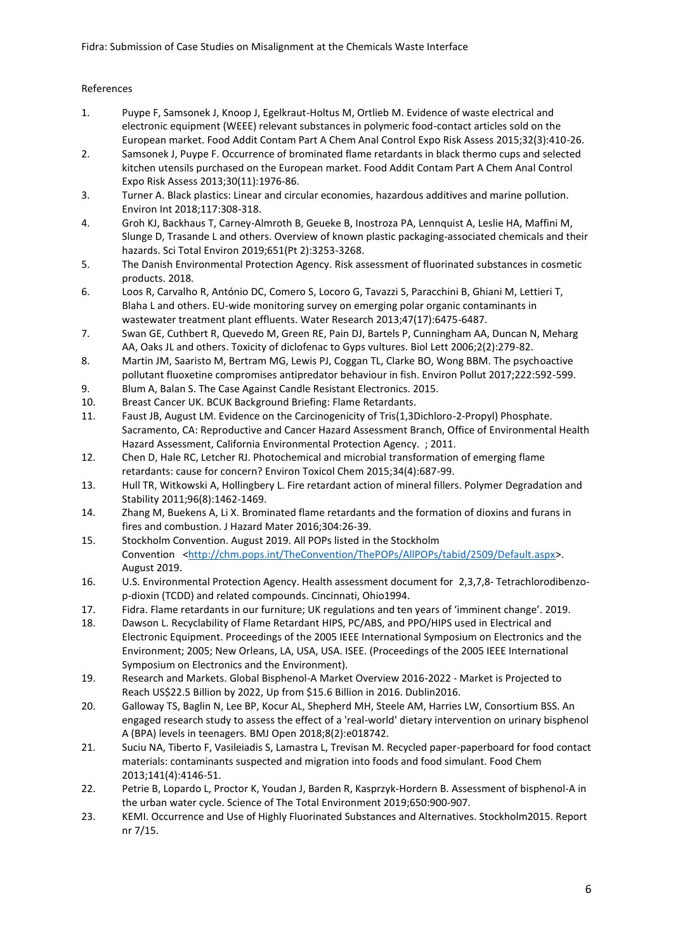#### References

- 1. Puype F, Samsonek J, Knoop J, Egelkraut-Holtus M, Ortlieb M. Evidence of waste electrical and electronic equipment (WEEE) relevant substances in polymeric food-contact articles sold on the European market. Food Addit Contam Part A Chem Anal Control Expo Risk Assess 2015;32(3):410-26.
- 2. Samsonek J, Puype F. Occurrence of brominated flame retardants in black thermo cups and selected kitchen utensils purchased on the European market. Food Addit Contam Part A Chem Anal Control Expo Risk Assess 2013;30(11):1976-86.
- 3. Turner A. Black plastics: Linear and circular economies, hazardous additives and marine pollution. Environ Int 2018;117:308-318.
- 4. Groh KJ, Backhaus T, Carney-Almroth B, Geueke B, Inostroza PA, Lennquist A, Leslie HA, Maffini M, Slunge D, Trasande L and others. Overview of known plastic packaging-associated chemicals and their hazards. Sci Total Environ 2019;651(Pt 2):3253-3268.
- 5. The Danish Environmental Protection Agency. Risk assessment of fluorinated substances in cosmetic products. 2018.
- 6. Loos R, Carvalho R, António DC, Comero S, Locoro G, Tavazzi S, Paracchini B, Ghiani M, Lettieri T, Blaha L and others. EU-wide monitoring survey on emerging polar organic contaminants in wastewater treatment plant effluents. Water Research 2013;47(17):6475-6487.
- 7. Swan GE, Cuthbert R, Quevedo M, Green RE, Pain DJ, Bartels P, Cunningham AA, Duncan N, Meharg AA, Oaks JL and others. Toxicity of diclofenac to Gyps vultures. Biol Lett 2006;2(2):279-82.
- 8. Martin JM, Saaristo M, Bertram MG, Lewis PJ, Coggan TL, Clarke BO, Wong BBM. The psychoactive pollutant fluoxetine compromises antipredator behaviour in fish. Environ Pollut 2017;222:592-599.
- 9. Blum A, Balan S. The Case Against Candle Resistant Electronics. 2015.
- 10. Breast Cancer UK. BCUK Background Briefing: Flame Retardants.
- 11. Faust JB, August LM. Evidence on the Carcinogenicity of Tris(1,3Dichloro-2-Propyl) Phosphate. Sacramento, CA: Reproductive and Cancer Hazard Assessment Branch, Office of Environmental Health Hazard Assessment, California Environmental Protection Agency. ; 2011.
- 12. Chen D, Hale RC, Letcher RJ. Photochemical and microbial transformation of emerging flame retardants: cause for concern? Environ Toxicol Chem 2015;34(4):687-99.
- 13. Hull TR, Witkowski A, Hollingbery L. Fire retardant action of mineral fillers. Polymer Degradation and Stability 2011;96(8):1462-1469.
- 14. Zhang M, Buekens A, Li X. Brominated flame retardants and the formation of dioxins and furans in fires and combustion. J Hazard Mater 2016;304:26-39.
- 15. Stockholm Convention. August 2019. All POPs listed in the Stockholm Convention [<http://chm.pops.int/TheConvention/ThePOPs/AllPOPs/tabid/2509/Default.aspx>](http://chm.pops.int/TheConvention/ThePOPs/AllPOPs/tabid/2509/Default.aspx). August 2019.
- 16. U.S. Environmental Protection Agency. Health assessment document for 2,3,7,8- Tetrachlorodibenzop-dioxin (TCDD) and related compounds. Cincinnati, Ohio1994.
- 17. Fidra. Flame retardants in our furniture; UK regulations and ten years of 'imminent change'. 2019.
- 18. Dawson L. Recyclability of Flame Retardant HIPS, PC/ABS, and PPO/HIPS used in Electrical and Electronic Equipment. Proceedings of the 2005 IEEE International Symposium on Electronics and the Environment; 2005; New Orleans, LA, USA, USA. ISEE. (Proceedings of the 2005 IEEE International Symposium on Electronics and the Environment).
- 19. Research and Markets. Global Bisphenol-A Market Overview 2016-2022 Market is Projected to Reach US\$22.5 Billion by 2022, Up from \$15.6 Billion in 2016. Dublin2016.
- 20. Galloway TS, Baglin N, Lee BP, Kocur AL, Shepherd MH, Steele AM, Harries LW, Consortium BSS. An engaged research study to assess the effect of a 'real-world' dietary intervention on urinary bisphenol A (BPA) levels in teenagers. BMJ Open 2018;8(2):e018742.
- 21. Suciu NA, Tiberto F, Vasileiadis S, Lamastra L, Trevisan M. Recycled paper-paperboard for food contact materials: contaminants suspected and migration into foods and food simulant. Food Chem 2013;141(4):4146-51.
- 22. Petrie B, Lopardo L, Proctor K, Youdan J, Barden R, Kasprzyk-Hordern B. Assessment of bisphenol-A in the urban water cycle. Science of The Total Environment 2019;650:900-907.
- 23. KEMI. Occurrence and Use of Highly Fluorinated Substances and Alternatives. Stockholm2015. Report nr 7/15.